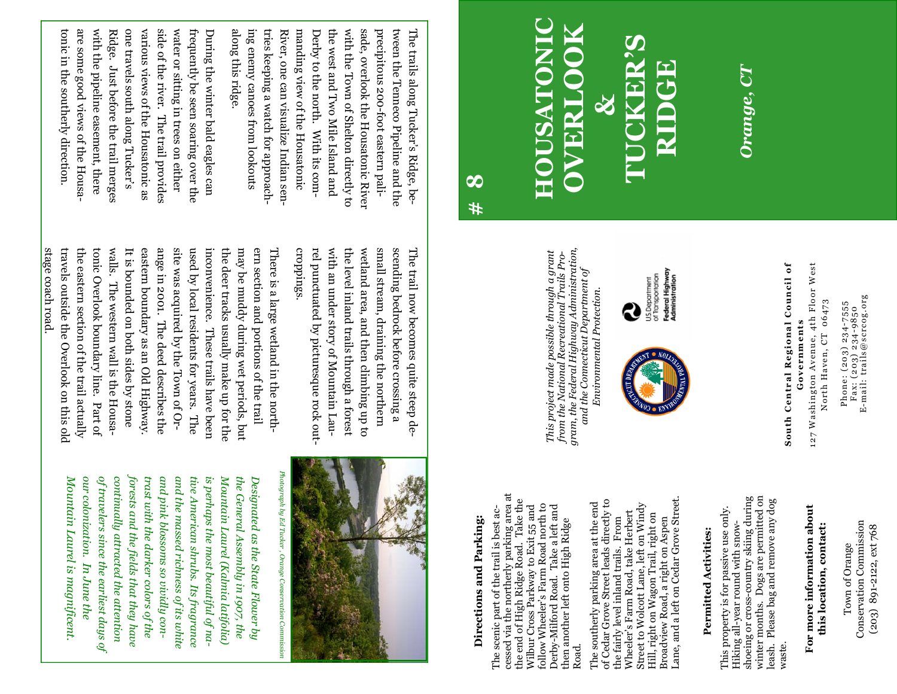Conservation Commission Conservation Commission (203) 891-2122, ext 768 (203) 891-2122, ext 768 Town of Orange Town of Orange

Phone: (203) 234-7555<br>Fax: (203) 234-9850<br>E-mail: trails@scrcog.org E-mail: trails@scrcog.org North Haven, CT 06473 North Haven, CT 06473 Phone: (203) 234-7555 Fax: (203) 234-9850

Governments **Governments** 

**For more information about this location, contact:** 

this location, contact:

For more information about

**South Central Regional Council of**  127 Washington Avenue, 4th Floor West South Central Regional Council of 127 Washington Avenue, 4th Floor West

*Orange, CT* 

Orange, CT

**RIDGE**

Federal Highway<br>Administration US.Department<br>of Transportation

**HOUSATONIC OVERLOOK TUCKER'S**  ISATON ERLI  **&** 

> *This project made possible through a grant from the National Recreational Trails Program, the Federal Highway Administration, and the Connecticut Department of Environmental Protection.*

This project made possible through a grant<br>from the National Recreational Trails Pro-<br>gram, the Federal Highway Administration,

and the Connecticut Department of

Environmental Protection

R

ing enemy canoes from lookouts manding view of the Housatonic sade, overlook the Housatonic River along this ridge. ing enemy canoes from lookouts tries keeping a watch for approachtries keeping a watch for approach-River, one can visualize Indian sen-Derby to the north. With its comthe west and Two Mile Island and the west and Two Mile Island and with the Town of Shelton directly to with the Town of Shelton directly to precipitous 200-foot eastern paliprecipitous 200-foot eastern palitween the Tenneco Pipeline and the tween the Tenneco Pipeline and the The trails along Tucker's Ridge, be-The trails along Tucker's Ridge, bealong this ridge. River, one can visualize Indian senmanding view of the Housatonic Derby to the north. With its comsade, overlook the Housatonic River

side of the river. water or sitting in trees on either tonic in the southerly direction tonic in the southerly direction. are some good views of the Housawith the pipeline easement, there with the pipeline easement, there Ridge. Just before the trail merges one travels south along Tucker's various views of the Housatonic as various views of the Housatonic as water or sitting in trees on either frequently be seen soaring over the frequently be seen soaring over the During the winter bald eagles can are some good views of the Housa-Ridge. Just before the trail merges one travels south along Tucker's side of the river. The trail provides During the winter bald eagles can The trail provides

> croppings. small stream, draining the northern croppings. rel punctuated by picturesque rock outrel punctuated by picturesque rock outwith an under story of Mountain Lauwith an under story of Mountain Lauthe level inland trails through a forest the level inland trails through a forest wetland area, and then climbing up to wetland area, and then climbing up to small stream, draining the northern scending bedrock before crossing a scending bedrock before crossing a The trail now becomes quite steep de-The trail now becomes quite steep de-

walls. site was acquired by the Town of Orstage coach road. stage coach road. travels outside the Overlook on this old travels outside the Overlook on this old the eastern section of the trail actually the eastern section of the trail actually tonic Overlook boundary line. Part of tonic Overlook boundary line. Part of walls. The western wall is the Housa-It is bounded on both sides by stone It is bounded on both sides by stone eastern boundary as an Old Highway. eastern boundary as an Old Highway. ange in 2001. The deed describes the ange in 2001. The deed describes the site was acquired by the Town of Orused by local residents for years. The used by local residents for years. The inconvenience. inconvenience. These trails have been the deer tracks usually make up for the the deer tracks usually make up for the may be muddy during wet periods, but may be muddy during wet periods, but ern section and portions of the trail ern section and portions of the trail There is a large wetland in the north-There is a large wetland in the north-The western wall is the Housa-These trails have been



**Directions and Parking:**  The scenic part of the trail is best accessed via the northerly parking area at the end of High Ridge Road. Take the Wilbur Cross Parkway to Exit 55 and follow Wheeler's Farm Road north to Derby-Milford Road. Take a left and then another left onto High Ridge

Directions and Parking:

The scenic part of the trail is best ac-

cessed via the northerly parking area at<br>the end of High Ridge Road. Take the

Wilbur Cross Parkway to Exit 55 and<br>follow Wheeler's Farm Road north to

Derby-Milford Road. Take a left and

then another left onto High Ridge

Road.

The southerly parking area at the end of Cedar Grove Street leads directly to the fairly level inland trails. From Wheeler's Farm Road, take Herbert Street to Wolcott Lane, left on Windy Hill, right on Wagon Trail, right on Broadview Road, a right on Aspen Lane, and a left on Cedar Grove Street.

of Cedar Grove Street leads directly to The southerly parking area at the end

**Permitted Activities:**  This property is for passive use only. Hiking all-year round with snowshoeing or cross-country skiing during winter months. Dogs are permitted on leash. Please bag and remove any dog winter months. Dogs are permitted on<br>leash. Please bag and remove any dog<br>waste.

**Permitted Activities:** 

This property is for passive use only.

Hiking all-year round with snow-

Broadview Road, a right on Aspen<br>Lane, and a left on Cedar Grove Street.

Street to Wolcott Lane, left on Windy

Hill, right on Wagon Trail, right on

Wheeler's Farm Road, take Herbert

the fairly level inland trails. From

shoeing or cross-country skiing during

**# 8** 

forests and the fields that they have *forests and the fields that they have*  Mountain Laurel is magnificent. *Mountain Laurel is magnificent.*  of travelers since the earliest days of continually attracted the attention trast with the darker colors of the and pink blossoms so vividly conand the massed richness of its white tive American shrubs. Its fragrance is perhaps the most beautiful of na-Mountain Laurel (Kalmia latifolia) *Mountain Laurel (Kalmia latifolia)*  the General Assembly in 1907, the *Designated as the State Flower by*  our colonization. In June the *our colonization. of travelers since the earliest days of continually attracted the attention trast with the darker colors of the and pink blossoms so vividly conand the massed richness of its white tive American shrubs. Its fragrance is perhaps the most beautiful of nathe General Assembly in 1907, the*  Designated as the State Flower by *In June the*